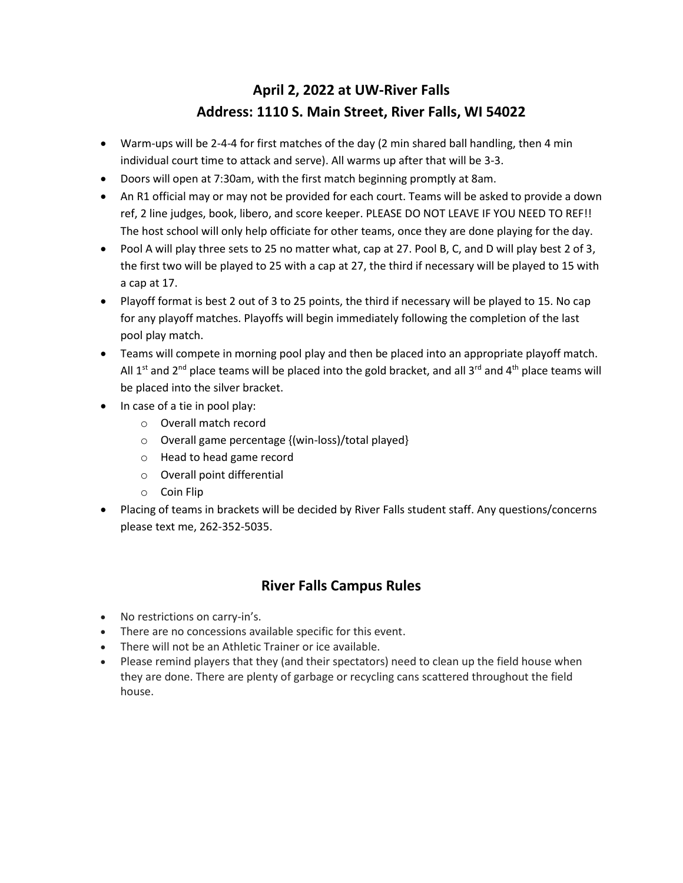## **April 2, 2022 at UW-River Falls Address: 1110 S. Main Street, River Falls, WI 54022**

- Warm-ups will be 2-4-4 for first matches of the day (2 min shared ball handling, then 4 min individual court time to attack and serve). All warms up after that will be 3-3.
- Doors will open at 7:30am, with the first match beginning promptly at 8am.
- An R1 official may or may not be provided for each court. Teams will be asked to provide a down ref, 2 line judges, book, libero, and score keeper. PLEASE DO NOT LEAVE IF YOU NEED TO REF!! The host school will only help officiate for other teams, once they are done playing for the day.
- Pool A will play three sets to 25 no matter what, cap at 27. Pool B, C, and D will play best 2 of 3, the first two will be played to 25 with a cap at 27, the third if necessary will be played to 15 with a cap at 17.
- Playoff format is best 2 out of 3 to 25 points, the third if necessary will be played to 15. No cap for any playoff matches. Playoffs will begin immediately following the completion of the last pool play match.
- Teams will compete in morning pool play and then be placed into an appropriate playoff match. All 1<sup>st</sup> and 2<sup>nd</sup> place teams will be placed into the gold bracket, and all 3<sup>rd</sup> and 4<sup>th</sup> place teams will be placed into the silver bracket.
- In case of a tie in pool play:
	- o Overall match record
	- o Overall game percentage {(win-loss)/total played}
	- o Head to head game record
	- o Overall point differential
	- o Coin Flip
- Placing of teams in brackets will be decided by River Falls student staff. Any questions/concerns please text me, 262-352-5035.

## **River Falls Campus Rules**

- No restrictions on carry-in's.
- There are no concessions available specific for this event.
- There will not be an Athletic Trainer or ice available.
- Please remind players that they (and their spectators) need to clean up the field house when they are done. There are plenty of garbage or recycling cans scattered throughout the field house.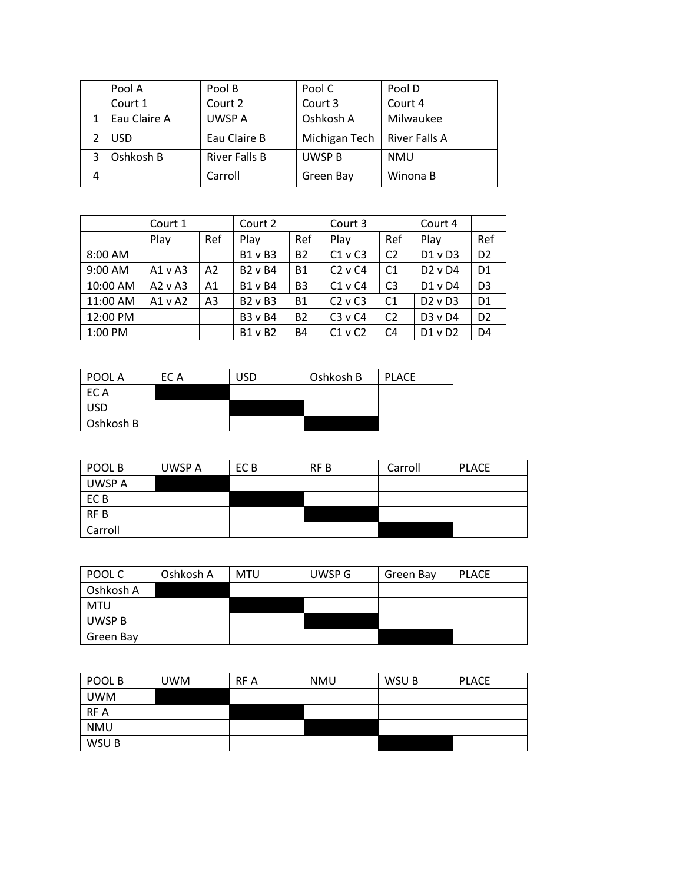|   | Pool A       | Pool B               | Pool C        | Pool D        |
|---|--------------|----------------------|---------------|---------------|
|   | Court 1      | Court 2              | Court 3       | Court 4       |
|   | Eau Claire A | UWSP A               | Oshkosh A     | Milwaukee     |
|   | <b>USD</b>   | Eau Claire B         | Michigan Tech | River Falls A |
| 3 | Oshkosh B    | <b>River Falls B</b> | UWSP B        | <b>NMU</b>    |
| 4 |              | Carroll              | Green Bay     | Winona B      |

|          | Court 1     |                | Court 2        |                | Court 3     |                | Court 4     |                |
|----------|-------------|----------------|----------------|----------------|-------------|----------------|-------------|----------------|
|          | Play        | Ref            | Play           | Ref            | Play        | Ref            | Play        | Ref            |
| 8:00 AM  |             |                | B1 v B3        | <b>B2</b>      | $C1$ v $C3$ | C <sub>2</sub> | $D1$ v $D3$ | D <sub>2</sub> |
| 9:00 AM  | $A1$ v A3   | A2             | <b>B2 v B4</b> | <b>B1</b>      | $C2$ v $C4$ | C <sub>1</sub> | $D2$ v $D4$ | D <sub>1</sub> |
| 10:00 AM | $A2$ v $A3$ | A <sub>1</sub> | <b>B1 v B4</b> | B <sub>3</sub> | $C1$ v $C4$ | C <sub>3</sub> | $D1$ v $D4$ | D <sub>3</sub> |
| 11:00 AM | A1 v A2     | A <sub>3</sub> | B2 v B3        | <b>B1</b>      | $C2$ v $C3$ | C <sub>1</sub> | $D2$ v $D3$ | D <sub>1</sub> |
| 12:00 PM |             |                | <b>B3 v B4</b> | <b>B2</b>      | $C3$ v $C4$ | C <sub>2</sub> | D3 v D4     | D <sub>2</sub> |
| 1:00 PM  |             |                | <b>B1 v B2</b> | <b>B4</b>      | $C1$ v $C2$ | C <sub>4</sub> | $D1$ v $D2$ | D <sub>4</sub> |

| POOL A     | EC A | USD | Oshkosh B | <b>PLACE</b> |
|------------|------|-----|-----------|--------------|
| EC A       |      |     |           |              |
| <b>USD</b> |      |     |           |              |
| Oshkosh B  |      |     |           |              |

| POOL B          | UWSP A | EC B | RF B | Carroll | <b>PLACE</b> |
|-----------------|--------|------|------|---------|--------------|
| UWSP A          |        |      |      |         |              |
| EC <sub>B</sub> |        |      |      |         |              |
| RF <sub>B</sub> |        |      |      |         |              |
| Carroll         |        |      |      |         |              |

| POOL C     | Oshkosh A | MTU | UWSP G | Green Bay | <b>PLACE</b> |
|------------|-----------|-----|--------|-----------|--------------|
| Oshkosh A  |           |     |        |           |              |
| <b>MTU</b> |           |     |        |           |              |
| UWSP B     |           |     |        |           |              |
| Green Bay  |           |     |        |           |              |

| POOL B     | <b>UWM</b> | RF A | <b>NMU</b> | WSU B | <b>PLACE</b> |
|------------|------------|------|------------|-------|--------------|
| <b>UWM</b> |            |      |            |       |              |
| <b>RFA</b> |            |      |            |       |              |
| <b>NMU</b> |            |      |            |       |              |
| WSU B      |            |      |            |       |              |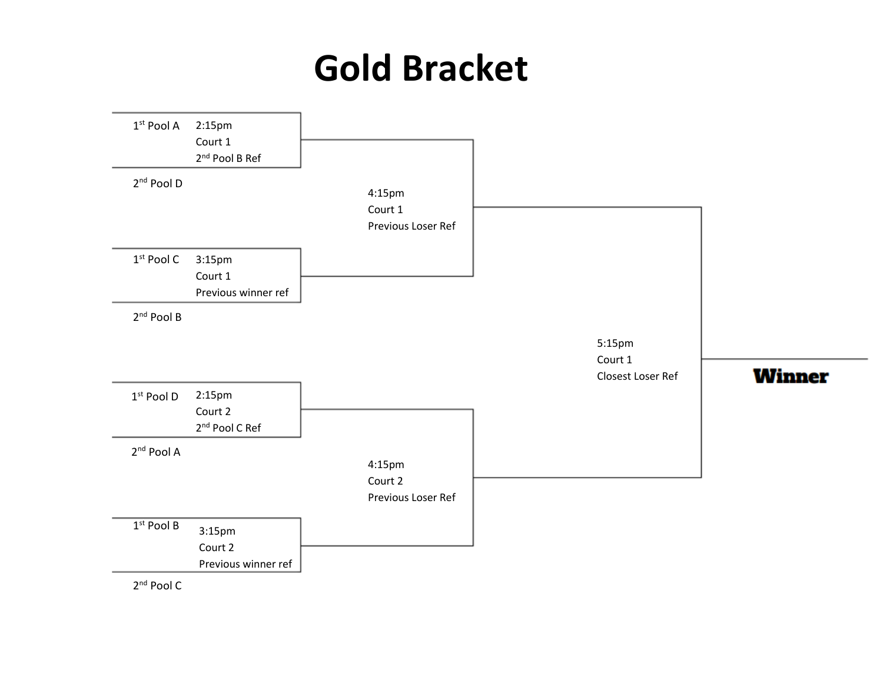## **Gold Bracket**